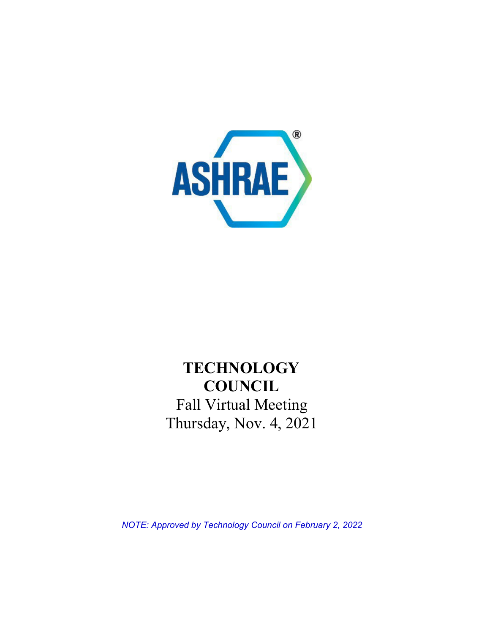

# **TECHNOLOGY COUNCIL** Fall Virtual Meeting Thursday, Nov. 4, 2021

*NOTE: Approved by Technology Council on February 2, 2022*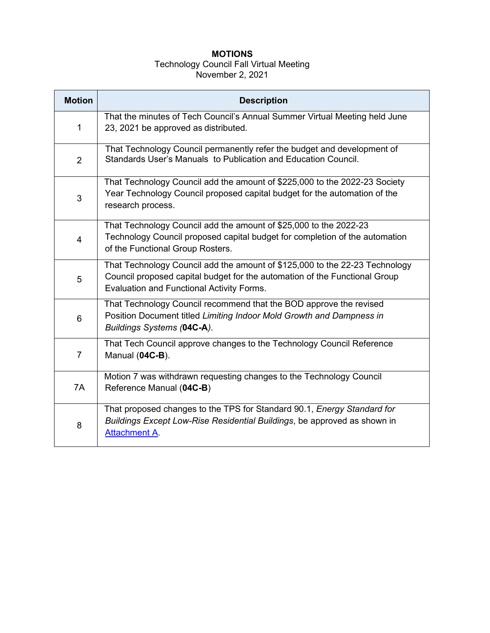# **MOTIONS**

#### Technology Council Fall Virtual Meeting November 2, 2021

| <b>Motion</b>  | <b>Description</b>                                                                                                                                                                                     |  |  |  |
|----------------|--------------------------------------------------------------------------------------------------------------------------------------------------------------------------------------------------------|--|--|--|
| 1              | That the minutes of Tech Council's Annual Summer Virtual Meeting held June<br>23, 2021 be approved as distributed.                                                                                     |  |  |  |
| $\overline{2}$ | That Technology Council permanently refer the budget and development of<br>Standards User's Manuals to Publication and Education Council.                                                              |  |  |  |
| 3              | That Technology Council add the amount of \$225,000 to the 2022-23 Society<br>Year Technology Council proposed capital budget for the automation of the<br>research process.                           |  |  |  |
| $\overline{4}$ | That Technology Council add the amount of \$25,000 to the 2022-23<br>Technology Council proposed capital budget for completion of the automation<br>of the Functional Group Rosters.                   |  |  |  |
| 5              | That Technology Council add the amount of \$125,000 to the 22-23 Technology<br>Council proposed capital budget for the automation of the Functional Group<br>Evaluation and Functional Activity Forms. |  |  |  |
| 6              | That Technology Council recommend that the BOD approve the revised<br>Position Document titled Limiting Indoor Mold Growth and Dampness in<br>Buildings Systems (04C-A).                               |  |  |  |
| $\overline{7}$ | That Tech Council approve changes to the Technology Council Reference<br>Manual (04C-B).                                                                                                               |  |  |  |
| 7A             | Motion 7 was withdrawn requesting changes to the Technology Council<br>Reference Manual (04C-B)                                                                                                        |  |  |  |
| 8              | That proposed changes to the TPS for Standard 90.1, Energy Standard for<br>Buildings Except Low-Rise Residential Buildings, be approved as shown in<br><b>Attachment A</b>                             |  |  |  |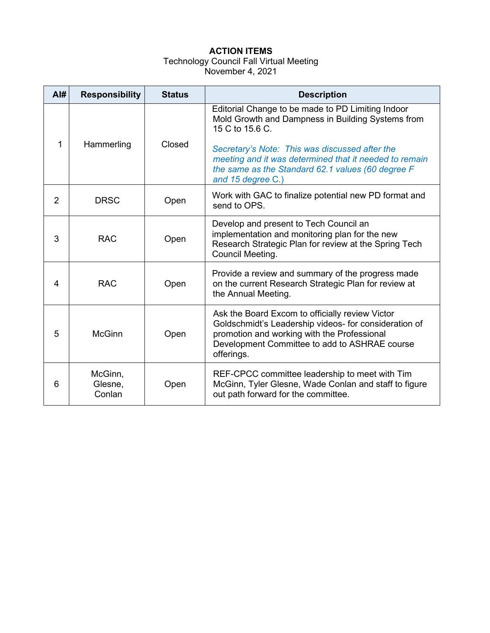# **ACTION ITEMS**

#### Technology Council Fall Virtual Meeting November 4, 2021

| AI#            | <b>Responsibility</b>        | <b>Status</b> | <b>Description</b>                                                                                                                                                                                                     |
|----------------|------------------------------|---------------|------------------------------------------------------------------------------------------------------------------------------------------------------------------------------------------------------------------------|
| 1              | Hammerling                   | Closed        | Editorial Change to be made to PD Limiting Indoor<br>Mold Growth and Dampness in Building Systems from<br>15 C to 15.6 C.                                                                                              |
|                |                              |               | Secretary's Note: This was discussed after the<br>meeting and it was determined that it needed to remain<br>the same as the Standard 62.1 values (60 degree F<br>and 15 degree C.)                                     |
| $\overline{2}$ | <b>DRSC</b>                  | Open          | Work with GAC to finalize potential new PD format and<br>send to OPS.                                                                                                                                                  |
| 3              | <b>RAC</b>                   | Open          | Develop and present to Tech Council an<br>implementation and monitoring plan for the new<br>Research Strategic Plan for review at the Spring Tech<br>Council Meeting.                                                  |
| 4              | <b>RAC</b>                   | Open          | Provide a review and summary of the progress made<br>on the current Research Strategic Plan for review at<br>the Annual Meeting.                                                                                       |
| 5              | <b>McGinn</b>                | Open          | Ask the Board Excom to officially review Victor<br>Goldschmidt's Leadership videos- for consideration of<br>promotion and working with the Professional<br>Development Committee to add to ASHRAE course<br>offerings. |
| 6              | McGinn,<br>Glesne,<br>Conlan | Open          | REF-CPCC committee leadership to meet with Tim<br>McGinn, Tyler Glesne, Wade Conlan and staff to figure<br>out path forward for the committee.                                                                         |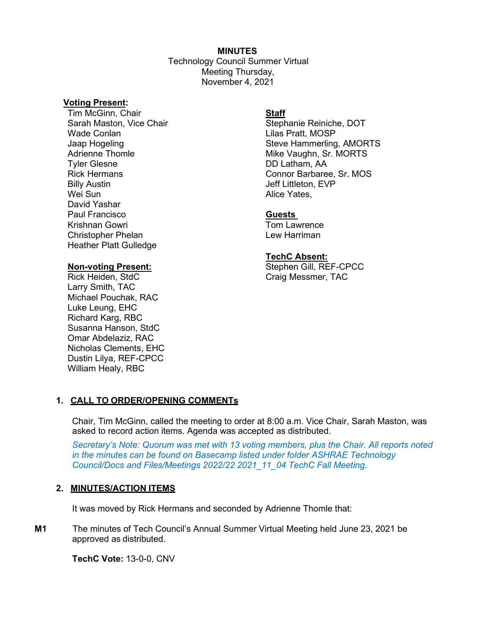#### **MINUTES**

Technology Council Summer Virtual Meeting Thursday, November 4, 2021

#### **Voting Present:**

**Tim McGinn, Chair <b>Staff** Sarah Maston, Vice Chair Stephanie Reiniche, DOT Wade Conlan **Material Contract Contract Contract Contract Contract Contract Contract Contract Contract Contract Contract Contract Contract Contract Contract Contract Contract Contract Contract Contract Contract Contract Co** Billy Austin Wei Sun David Yashar Paul Francisco **Guests**  Krishnan Gowri Christopher Phelan **Lew Harriman** Heather Platt Gulledge

Larry Smith, TAC Michael Pouchak, RAC Luke Leung, EHC Richard Karg, RBC Susanna Hanson, StdC Omar Abdelaziz, RAC Nicholas Clements, EHC Dustin Lilya, REF-CPCC William Healy, RBC

Jaap Hogeling Steve Hammerling, AMORTS Adrienne Thomle Mike Vaughn, Sr. MORTS<br>Tyler Glesne Mike Vaughn, Sr. MORTS DD Latham, AA Rick Hermans **Connor Barbaree, Sr. MOS** Jeff Littleton, EVP Alice Yates,

#### **TechC Absent:**

**Non-voting Present:** Stephen Gill, REF-CPCC Craig Messmer, TAC

# **1. CALL TO ORDER/OPENING COMMENTs**

Chair, Tim McGinn, called the meeting to order at 8:00 a.m. Vice Chair, Sarah Maston, was asked to record action items. Agenda was accepted as distributed.

*Secretary's Note: Quorum was met with 13 voting members, plus the Chair. All reports noted in the minutes can be found on Basecamp listed under folder ASHRAE Technology Council/Docs and Files/Meetings 2022/22 2021\_11\_04 TechC Fall Meeting.*

# **2. MINUTES/ACTION ITEMS**

It was moved by Rick Hermans and seconded by Adrienne Thomle that:

**M1** The minutes of Tech Council's Annual Summer Virtual Meeting held June 23, 2021 be approved as distributed.

**TechC Vote:** 13-0-0, CNV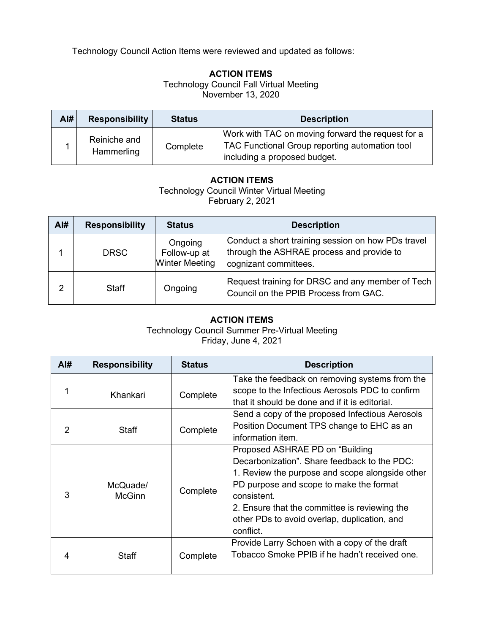Technology Council Action Items were reviewed and updated as follows:

# **ACTION ITEMS**

Technology Council Fall Virtual Meeting November 13, 2020

| Al# | <b>Responsibility</b>      | <b>Status</b> | <b>Description</b>                                                                                                                  |
|-----|----------------------------|---------------|-------------------------------------------------------------------------------------------------------------------------------------|
|     | Reiniche and<br>Hammerling | Complete      | Work with TAC on moving forward the request for a<br>TAC Functional Group reporting automation tool<br>including a proposed budget. |

# **ACTION ITEMS**

Technology Council Winter Virtual Meeting February 2, 2021

| Al# | <b>Responsibility</b> | <b>Status</b>                                    | <b>Description</b>                                                                                                       |
|-----|-----------------------|--------------------------------------------------|--------------------------------------------------------------------------------------------------------------------------|
|     | <b>DRSC</b>           | Ongoing<br>Follow-up at<br><b>Winter Meeting</b> | Conduct a short training session on how PDs travel<br>through the ASHRAE process and provide to<br>cognizant committees. |
| 2   | Staff                 | Ongoing                                          | Request training for DRSC and any member of Tech  <br>Council on the PPIB Process from GAC.                              |

# **ACTION ITEMS**

Technology Council Summer Pre-Virtual Meeting Friday, June 4, 2021

| AI# | <b>Responsibility</b>     | <b>Status</b> | <b>Description</b>                                                                                                                                                                                                                                                                                          |
|-----|---------------------------|---------------|-------------------------------------------------------------------------------------------------------------------------------------------------------------------------------------------------------------------------------------------------------------------------------------------------------------|
|     | Khankari                  | Complete      | Take the feedback on removing systems from the<br>scope to the Infectious Aerosols PDC to confirm<br>that it should be done and if it is editorial.                                                                                                                                                         |
| 2   | Staff                     | Complete      | Send a copy of the proposed Infectious Aerosols<br>Position Document TPS change to EHC as an<br>information item.                                                                                                                                                                                           |
| 3   | McQuade/<br><b>McGinn</b> | Complete      | Proposed ASHRAE PD on "Building"<br>Decarbonization". Share feedback to the PDC:<br>1. Review the purpose and scope alongside other<br>PD purpose and scope to make the format<br>consistent.<br>2. Ensure that the committee is reviewing the<br>other PDs to avoid overlap, duplication, and<br>conflict. |
| 4   | <b>Staff</b>              | Complete      | Provide Larry Schoen with a copy of the draft<br>Tobacco Smoke PPIB if he hadn't received one.                                                                                                                                                                                                              |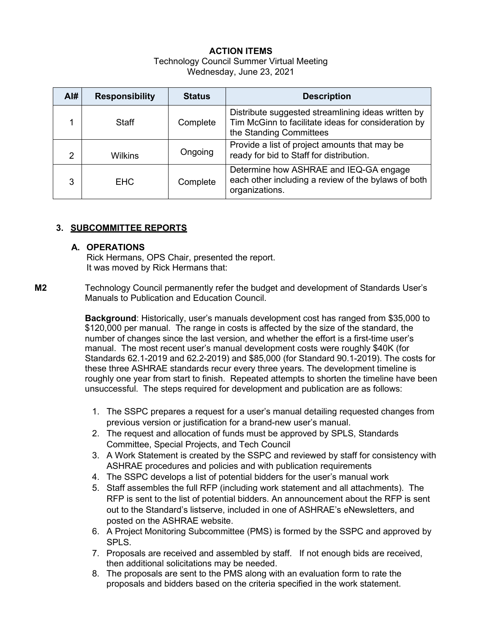# **ACTION ITEMS**

#### Technology Council Summer Virtual Meeting Wednesday, June 23, 2021

| AI# | <b>Responsibility</b> | <b>Status</b> | <b>Description</b>                                                                                                                   |
|-----|-----------------------|---------------|--------------------------------------------------------------------------------------------------------------------------------------|
|     | Staff                 | Complete      | Distribute suggested streamlining ideas written by<br>Tim McGinn to facilitate ideas for consideration by<br>the Standing Committees |
| 2   | <b>Wilkins</b>        | Ongoing       | Provide a list of project amounts that may be<br>ready for bid to Staff for distribution.                                            |
| 3   | EHC.                  | Complete      | Determine how ASHRAE and IEQ-GA engage<br>each other including a review of the bylaws of both<br>organizations.                      |

# **3. SUBCOMMITTEE REPORTS**

# **A. OPERATIONS**

Rick Hermans, OPS Chair, presented the report. It was moved by Rick Hermans that:

**M2** Technology Council permanently refer the budget and development of Standards User's Manuals to Publication and Education Council.

> **Background**: Historically, user's manuals development cost has ranged from \$35,000 to \$120,000 per manual. The range in costs is affected by the size of the standard, the number of changes since the last version, and whether the effort is a first-time user's manual. The most recent user's manual development costs were roughly \$40K (for Standards 62.1-2019 and 62.2-2019) and \$85,000 (for Standard 90.1-2019). The costs for these three ASHRAE standards recur every three years. The development timeline is roughly one year from start to finish. Repeated attempts to shorten the timeline have been unsuccessful. The steps required for development and publication are as follows:

- 1. The SSPC prepares a request for a user's manual detailing requested changes from previous version or justification for a brand-new user's manual.
- 2. The request and allocation of funds must be approved by SPLS, Standards Committee, Special Projects, and Tech Council
- 3. A Work Statement is created by the SSPC and reviewed by staff for consistency with ASHRAE procedures and policies and with publication requirements
- 4. The SSPC develops a list of potential bidders for the user's manual work
- 5. Staff assembles the full RFP (including work statement and all attachments). The RFP is sent to the list of potential bidders. An announcement about the RFP is sent out to the Standard's listserve, included in one of ASHRAE's eNewsletters, and posted on the ASHRAE website.
- 6. A Project Monitoring Subcommittee (PMS) is formed by the SSPC and approved by SPLS.
- 7. Proposals are received and assembled by staff. If not enough bids are received, then additional solicitations may be needed.
- 8. The proposals are sent to the PMS along with an evaluation form to rate the proposals and bidders based on the criteria specified in the work statement.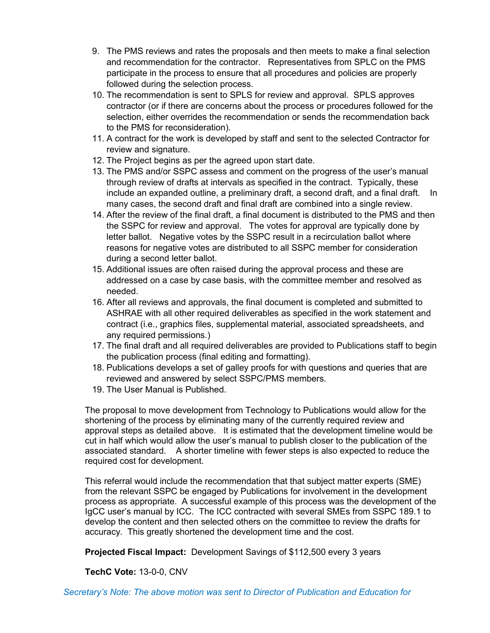- 9. The PMS reviews and rates the proposals and then meets to make a final selection and recommendation for the contractor. Representatives from SPLC on the PMS participate in the process to ensure that all procedures and policies are properly followed during the selection process.
- 10. The recommendation is sent to SPLS for review and approval. SPLS approves contractor (or if there are concerns about the process or procedures followed for the selection, either overrides the recommendation or sends the recommendation back to the PMS for reconsideration).
- 11. A contract for the work is developed by staff and sent to the selected Contractor for review and signature.
- 12. The Project begins as per the agreed upon start date.
- 13. The PMS and/or SSPC assess and comment on the progress of the user's manual through review of drafts at intervals as specified in the contract. Typically, these include an expanded outline, a preliminary draft, a second draft, and a final draft. In many cases, the second draft and final draft are combined into a single review.
- 14. After the review of the final draft, a final document is distributed to the PMS and then the SSPC for review and approval. The votes for approval are typically done by letter ballot. Negative votes by the SSPC result in a recirculation ballot where reasons for negative votes are distributed to all SSPC member for consideration during a second letter ballot.
- 15. Additional issues are often raised during the approval process and these are addressed on a case by case basis, with the committee member and resolved as needed.
- 16. After all reviews and approvals, the final document is completed and submitted to ASHRAE with all other required deliverables as specified in the work statement and contract (i.e., graphics files, supplemental material, associated spreadsheets, and any required permissions.)
- 17. The final draft and all required deliverables are provided to Publications staff to begin the publication process (final editing and formatting).
- 18. Publications develops a set of galley proofs for with questions and queries that are reviewed and answered by select SSPC/PMS members.
- 19. The User Manual is Published.

The proposal to move development from Technology to Publications would allow for the shortening of the process by eliminating many of the currently required review and approval steps as detailed above. It is estimated that the development timeline would be cut in half which would allow the user's manual to publish closer to the publication of the associated standard. A shorter timeline with fewer steps is also expected to reduce the required cost for development.

This referral would include the recommendation that that subject matter experts (SME) from the relevant SSPC be engaged by Publications for involvement in the development process as appropriate. A successful example of this process was the development of the IgCC user's manual by ICC. The ICC contracted with several SMEs from SSPC 189.1 to develop the content and then selected others on the committee to review the drafts for accuracy. This greatly shortened the development time and the cost.

**Projected Fiscal Impact:** Development Savings of \$112,500 every 3 years

**TechC Vote:** 13-0-0, CNV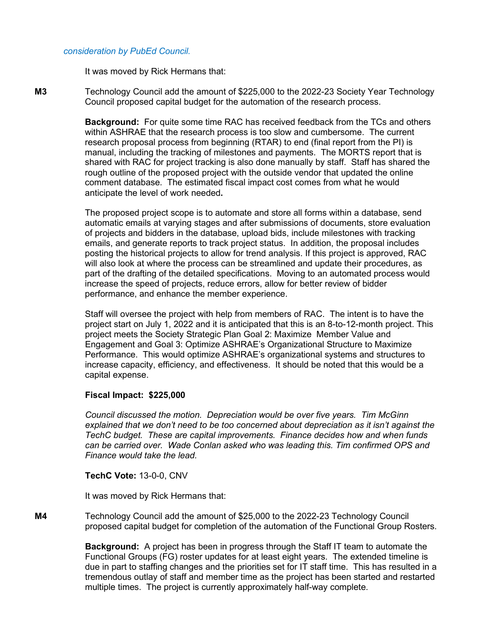#### *consideration by PubEd Council.*

It was moved by Rick Hermans that:

**M3** Technology Council add the amount of \$225,000 to the 2022-23 Society Year Technology Council proposed capital budget for the automation of the research process.

> **Background:** For quite some time RAC has received feedback from the TCs and others within ASHRAE that the research process is too slow and cumbersome. The current research proposal process from beginning (RTAR) to end (final report from the PI) is manual, including the tracking of milestones and payments. The MORTS report that is shared with RAC for project tracking is also done manually by staff. Staff has shared the rough outline of the proposed project with the outside vendor that updated the online comment database. The estimated fiscal impact cost comes from what he would anticipate the level of work needed**.**

> The proposed project scope is to automate and store all forms within a database, send automatic emails at varying stages and after submissions of documents, store evaluation of projects and bidders in the database, upload bids, include milestones with tracking emails, and generate reports to track project status. In addition, the proposal includes posting the historical projects to allow for trend analysis. If this project is approved, RAC will also look at where the process can be streamlined and update their procedures, as part of the drafting of the detailed specifications. Moving to an automated process would increase the speed of projects, reduce errors, allow for better review of bidder performance, and enhance the member experience.

> Staff will oversee the project with help from members of RAC. The intent is to have the project start on July 1, 2022 and it is anticipated that this is an 8-to-12-month project. This project meets the Society Strategic Plan Goal 2: Maximize Member Value and Engagement and Goal 3: Optimize ASHRAE's Organizational Structure to Maximize Performance. This would optimize ASHRAE's organizational systems and structures to increase capacity, efficiency, and effectiveness. It should be noted that this would be a capital expense.

#### **Fiscal Impact: \$225,000**

*Council discussed the motion. Depreciation would be over five years. Tim McGinn explained that we don't need to be too concerned about depreciation as it isn't against the TechC budget. These are capital improvements. Finance decides how and when funds can be carried over. Wade Conlan asked who was leading this. Tim confirmed OPS and Finance would take the lead.*

**TechC Vote:** 13-0-0, CNV

It was moved by Rick Hermans that:

**M4** Technology Council add the amount of \$25,000 to the 2022-23 Technology Council proposed capital budget for completion of the automation of the Functional Group Rosters.

> **Background:** A project has been in progress through the Staff IT team to automate the Functional Groups (FG) roster updates for at least eight years. The extended timeline is due in part to staffing changes and the priorities set for IT staff time. This has resulted in a tremendous outlay of staff and member time as the project has been started and restarted multiple times. The project is currently approximately half-way complete.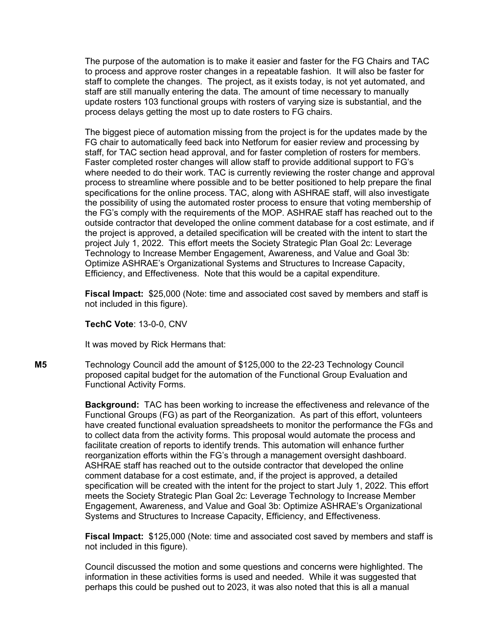The purpose of the automation is to make it easier and faster for the FG Chairs and TAC to process and approve roster changes in a repeatable fashion. It will also be faster for staff to complete the changes. The project, as it exists today, is not yet automated, and staff are still manually entering the data. The amount of time necessary to manually update rosters 103 functional groups with rosters of varying size is substantial, and the process delays getting the most up to date rosters to FG chairs.

The biggest piece of automation missing from the project is for the updates made by the FG chair to automatically feed back into Netforum for easier review and processing by staff, for TAC section head approval, and for faster completion of rosters for members. Faster completed roster changes will allow staff to provide additional support to FG's where needed to do their work. TAC is currently reviewing the roster change and approval process to streamline where possible and to be better positioned to help prepare the final specifications for the online process. TAC, along with ASHRAE staff, will also investigate the possibility of using the automated roster process to ensure that voting membership of the FG's comply with the requirements of the MOP. ASHRAE staff has reached out to the outside contractor that developed the online comment database for a cost estimate, and if the project is approved, a detailed specification will be created with the intent to start the project July 1, 2022. This effort meets the Society Strategic Plan Goal 2c: Leverage Technology to Increase Member Engagement, Awareness, and Value and Goal 3b: Optimize ASHRAE's Organizational Systems and Structures to Increase Capacity, Efficiency, and Effectiveness. Note that this would be a capital expenditure.

**Fiscal Impact:** \$25,000 (Note: time and associated cost saved by members and staff is not included in this figure).

#### **TechC Vote**: 13-0-0, CNV

It was moved by Rick Hermans that:

**M5** Technology Council add the amount of \$125,000 to the 22-23 Technology Council proposed capital budget for the automation of the Functional Group Evaluation and Functional Activity Forms.

> **Background:** TAC has been working to increase the effectiveness and relevance of the Functional Groups (FG) as part of the Reorganization. As part of this effort, volunteers have created functional evaluation spreadsheets to monitor the performance the FGs and to collect data from the activity forms. This proposal would automate the process and facilitate creation of reports to identify trends. This automation will enhance further reorganization efforts within the FG's through a management oversight dashboard. ASHRAE staff has reached out to the outside contractor that developed the online comment database for a cost estimate, and, if the project is approved, a detailed specification will be created with the intent for the project to start July 1, 2022. This effort meets the Society Strategic Plan Goal 2c: Leverage Technology to Increase Member Engagement, Awareness, and Value and Goal 3b: Optimize ASHRAE's Organizational Systems and Structures to Increase Capacity, Efficiency, and Effectiveness.

> **Fiscal Impact:** \$125,000 (Note: time and associated cost saved by members and staff is not included in this figure).

Council discussed the motion and some questions and concerns were highlighted. The information in these activities forms is used and needed. While it was suggested that perhaps this could be pushed out to 2023, it was also noted that this is all a manual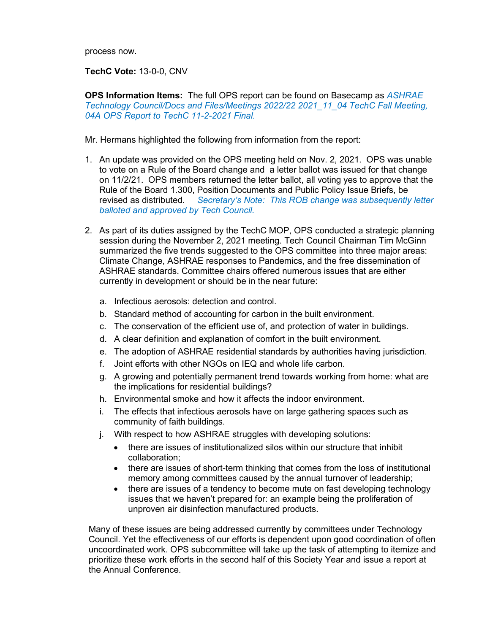process now.

**TechC Vote:** 13-0-0, CNV

**OPS Information Items:** The full OPS report can be found on Basecamp as *ASHRAE Technology Council/Docs and Files/Meetings 2022/22 2021\_11\_04 TechC Fall Meeting, 04A OPS Report to TechC 11-2-2021 Final.* 

Mr. Hermans highlighted the following from information from the report:

- 1. An update was provided on the OPS meeting held on Nov. 2, 2021. OPS was unable to vote on a Rule of the Board change and a letter ballot was issued for that change on 11/2/21. OPS members returned the letter ballot, all voting yes to approve that the Rule of the Board 1.300, Position Documents and Public Policy Issue Briefs, be revised as distributed. *Secretary's Note: This ROB change was subsequently letter balloted and approved by Tech Council.*
- 2. As part of its duties assigned by the TechC MOP, OPS conducted a strategic planning session during the November 2, 2021 meeting. Tech Council Chairman Tim McGinn summarized the five trends suggested to the OPS committee into three major areas: Climate Change, ASHRAE responses to Pandemics, and the free dissemination of ASHRAE standards. Committee chairs offered numerous issues that are either currently in development or should be in the near future:
	- a. Infectious aerosols: detection and control.
	- b. Standard method of accounting for carbon in the built environment.
	- c. The conservation of the efficient use of, and protection of water in buildings.
	- d. A clear definition and explanation of comfort in the built environment.
	- e. The adoption of ASHRAE residential standards by authorities having jurisdiction.
	- f. Joint efforts with other NGOs on IEQ and whole life carbon.
	- g. A growing and potentially permanent trend towards working from home: what are the implications for residential buildings?
	- h. Environmental smoke and how it affects the indoor environment.
	- i. The effects that infectious aerosols have on large gathering spaces such as community of faith buildings.
	- j. With respect to how ASHRAE struggles with developing solutions:
		- there are issues of institutionalized silos within our structure that inhibit collaboration;
		- there are issues of short-term thinking that comes from the loss of institutional memory among committees caused by the annual turnover of leadership;
		- there are issues of a tendency to become mute on fast developing technology issues that we haven't prepared for: an example being the proliferation of unproven air disinfection manufactured products.

Many of these issues are being addressed currently by committees under Technology Council. Yet the effectiveness of our efforts is dependent upon good coordination of often uncoordinated work. OPS subcommittee will take up the task of attempting to itemize and prioritize these work efforts in the second half of this Society Year and issue a report at the Annual Conference.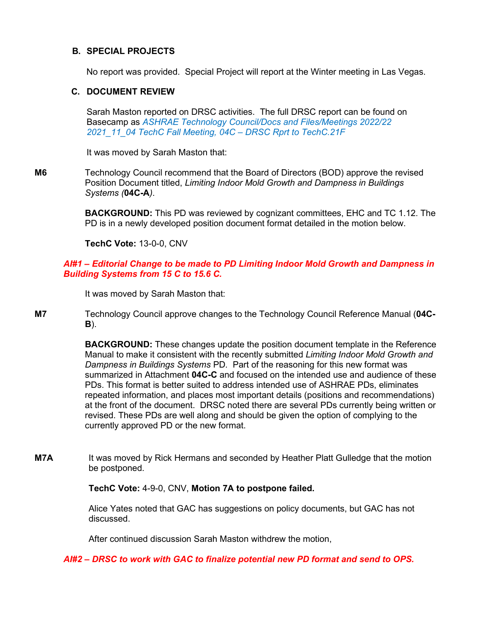#### **B. SPECIAL PROJECTS**

No report was provided. Special Project will report at the Winter meeting in Las Vegas.

#### **C. DOCUMENT REVIEW**

Sarah Maston reported on DRSC activities. The full DRSC report can be found on Basecamp as *ASHRAE Technology Council/Docs and Files/Meetings 2022/22 2021\_11\_04 TechC Fall Meeting, 04C – DRSC Rprt to TechC.21F*

It was moved by Sarah Maston that:

**M6** Technology Council recommend that the Board of Directors (BOD) approve the revised Position Document titled, *Limiting Indoor Mold Growth and Dampness in Buildings Systems (***04C-A***)*.

> **BACKGROUND:** This PD was reviewed by cognizant committees, EHC and TC 1.12. The PD is in a newly developed position document format detailed in the motion below.

**TechC Vote:** 13-0-0, CNV

#### *AI#1 – Editorial Change to be made to PD Limiting Indoor Mold Growth and Dampness in Building Systems from 15 C to 15.6 C.*

It was moved by Sarah Maston that:

**M7** Technology Council approve changes to the Technology Council Reference Manual (**04C-B**).

> **BACKGROUND:** These changes update the position document template in the Reference Manual to make it consistent with the recently submitted *Limiting Indoor Mold Growth and Dampness in Buildings Systems* PD*.* Part of the reasoning for this new format was summarized in Attachment **04C-C** and focused on the intended use and audience of these PDs. This format is better suited to address intended use of ASHRAE PDs, eliminates repeated information, and places most important details (positions and recommendations) at the front of the document. DRSC noted there are several PDs currently being written or revised. These PDs are well along and should be given the option of complying to the currently approved PD or the new format.

**M7A** It was moved by Rick Hermans and seconded by Heather Platt Gulledge that the motion be postponed.

**TechC Vote:** 4-9-0, CNV, **Motion 7A to postpone failed.**

Alice Yates noted that GAC has suggestions on policy documents, but GAC has not discussed.

After continued discussion Sarah Maston withdrew the motion,

*AI#2 – DRSC to work with GAC to finalize potential new PD format and send to OPS.*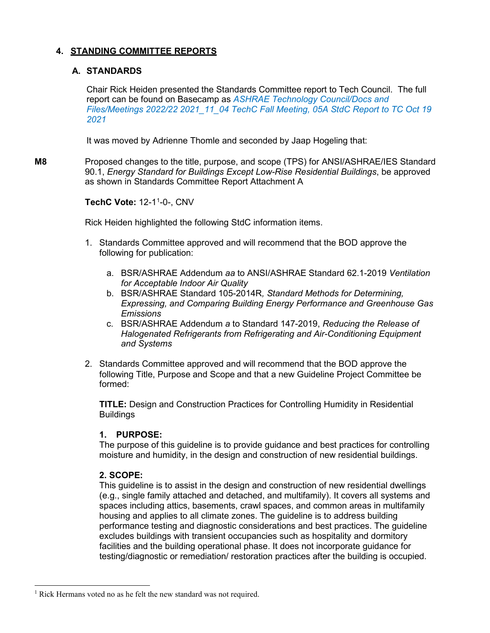# **4. STANDING COMMITTEE REPORTS**

# **A. STANDARDS**

Chair Rick Heiden presented the Standards Committee report to Tech Council. The full report can be found on Basecamp as *ASHRAE Technology Council/Docs and Files/Meetings 2022/22 2021\_11\_04 TechC Fall Meeting, 05A StdC Report to TC Oct 19 2021*

It was moved by Adrienne Thomle and seconded by Jaap Hogeling that:

**M8** Proposed changes to the title, purpose, and scope (TPS) for ANSI/ASHRAE/IES Standard 90.1, *Energy Standard for Buildings Except Low-Rise Residential Buildings*, be approved as shown in Standards Committee Report Attachment A

**TechC Vote:** 12-1[1](#page-11-0) -0-, CNV

Rick Heiden highlighted the following StdC information items.

- 1. Standards Committee approved and will recommend that the BOD approve the following for publication:
	- a. BSR/ASHRAE Addendum *aa* to ANSI/ASHRAE Standard 62.1-2019 *Ventilation for Acceptable Indoor Air Quality*
	- b. BSR/ASHRAE Standard 105-2014R*, Standard Methods for Determining, Expressing, and Comparing Building Energy Performance and Greenhouse Gas Emissions*
	- c. BSR/ASHRAE Addendum *a* to Standard 147-2019, *Reducing the Release of Halogenated Refrigerants from Refrigerating and Air-Conditioning Equipment and Systems*
- 2. Standards Committee approved and will recommend that the BOD approve the following Title, Purpose and Scope and that a new Guideline Project Committee be formed:

**TITLE:** Design and Construction Practices for Controlling Humidity in Residential Buildings

# **1. PURPOSE:**

The purpose of this guideline is to provide guidance and best practices for controlling moisture and humidity, in the design and construction of new residential buildings.

# **2. SCOPE:**

This guideline is to assist in the design and construction of new residential dwellings (e.g., single family attached and detached, and multifamily). It covers all systems and spaces including attics, basements, crawl spaces, and common areas in multifamily housing and applies to all climate zones. The guideline is to address building performance testing and diagnostic considerations and best practices. The guideline excludes buildings with transient occupancies such as hospitality and dormitory facilities and the building operational phase. It does not incorporate guidance for testing/diagnostic or remediation/ restoration practices after the building is occupied.

<span id="page-11-0"></span><sup>&</sup>lt;sup>1</sup> Rick Hermans voted no as he felt the new standard was not required.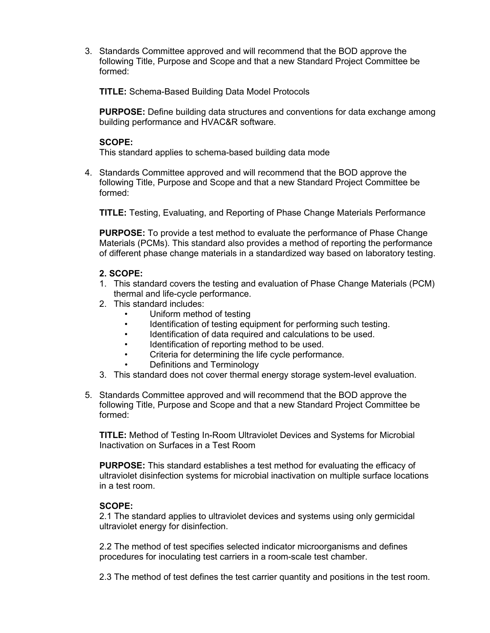3. Standards Committee approved and will recommend that the BOD approve the following Title, Purpose and Scope and that a new Standard Project Committee be formed:

**TITLE:** Schema-Based Building Data Model Protocols

**PURPOSE:** Define building data structures and conventions for data exchange among building performance and HVAC&R software.

# **SCOPE:**

This standard applies to schema-based building data mode

4. Standards Committee approved and will recommend that the BOD approve the following Title, Purpose and Scope and that a new Standard Project Committee be formed:

**TITLE:** Testing, Evaluating, and Reporting of Phase Change Materials Performance

**PURPOSE:** To provide a test method to evaluate the performance of Phase Change Materials (PCMs). This standard also provides a method of reporting the performance of different phase change materials in a standardized way based on laboratory testing.

# **2. SCOPE:**

- 1. This standard covers the testing and evaluation of Phase Change Materials (PCM) thermal and life-cycle performance.
- 2. This standard includes:
	- Uniform method of testing
		- Identification of testing equipment for performing such testing.
	- Identification of data required and calculations to be used.
	- Identification of reporting method to be used.
	- Criteria for determining the life cycle performance.
	- Definitions and Terminology
- 3. This standard does not cover thermal energy storage system-level evaluation.
- 5. Standards Committee approved and will recommend that the BOD approve the following Title, Purpose and Scope and that a new Standard Project Committee be formed:

**TITLE:** Method of Testing In-Room Ultraviolet Devices and Systems for Microbial Inactivation on Surfaces in a Test Room

**PURPOSE:** This standard establishes a test method for evaluating the efficacy of ultraviolet disinfection systems for microbial inactivation on multiple surface locations in a test room.

# **SCOPE:**

2.1 The standard applies to ultraviolet devices and systems using only germicidal ultraviolet energy for disinfection.

2.2 The method of test specifies selected indicator microorganisms and defines procedures for inoculating test carriers in a room-scale test chamber.

2.3 The method of test defines the test carrier quantity and positions in the test room.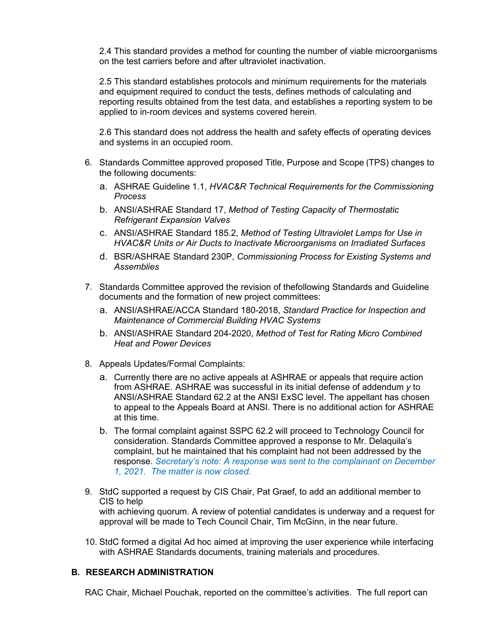2.4 This standard provides a method for counting the number of viable microorganisms on the test carriers before and after ultraviolet inactivation.

2.5 This standard establishes protocols and minimum requirements for the materials and equipment required to conduct the tests, defines methods of calculating and reporting results obtained from the test data, and establishes a reporting system to be applied to in-room devices and systems covered herein.

2.6 This standard does not address the health and safety effects of operating devices and systems in an occupied room.

- 6. Standards Committee approved proposed Title, Purpose and Scope (TPS) changes to the following documents:
	- a. ASHRAE Guideline 1.1, *HVAC&R Technical Requirements for the Commissioning Process*
	- b. ANSI/ASHRAE Standard 17, *Method of Testing Capacity of Thermostatic Refrigerant Expansion Valves*
	- c. ANSI/ASHRAE Standard 185.2, *Method of Testing Ultraviolet Lamps for Use in HVAC&R Units or Air Ducts to Inactivate Microorganisms on Irradiated Surfaces*
	- d. BSR/ASHRAE Standard 230P, *Commissioning Process for Existing Systems and Assemblies*
- 7. Standards Committee approved the revision of thefollowing Standards and Guideline documents and the formation of new project committees:
	- a. ANSI/ASHRAE/ACCA Standard 180-2018, *Standard Practice for Inspection and Maintenance of Commercial Building HVAC Systems*
	- b. ANSI/ASHRAE Standard 204-2020, *Method of Test for Rating Micro Combined Heat and Power Devices*
- 8. Appeals Updates/Formal Complaints:
	- a. Currently there are no active appeals at ASHRAE or appeals that require action from ASHRAE. ASHRAE was successful in its initial defense of addendum *y* to ANSI/ASHRAE Standard 62.2 at the ANSI ExSC level. The appellant has chosen to appeal to the Appeals Board at ANSI. There is no additional action for ASHRAE at this time.
	- b. The formal complaint against SSPC 62.2 will proceed to Technology Council for consideration. Standards Committee approved a response to Mr. Delaquila's complaint, but he maintained that his complaint had not been addressed by the response. *Secretary's note: A response was sent to the complainant on December 1, 2021. The matter is now closed.*
- 9. StdC supported a request by CIS Chair, Pat Graef, to add an additional member to CIS to help with achieving quorum. A review of potential candidates is underway and a request for approval will be made to Tech Council Chair, Tim McGinn, in the near future.
- 10. StdC formed a digital Ad hoc aimed at improving the user experience while interfacing with ASHRAE Standards documents, training materials and procedures.

# **B. RESEARCH ADMINISTRATION**

RAC Chair, Michael Pouchak, reported on the committee's activities. The full report can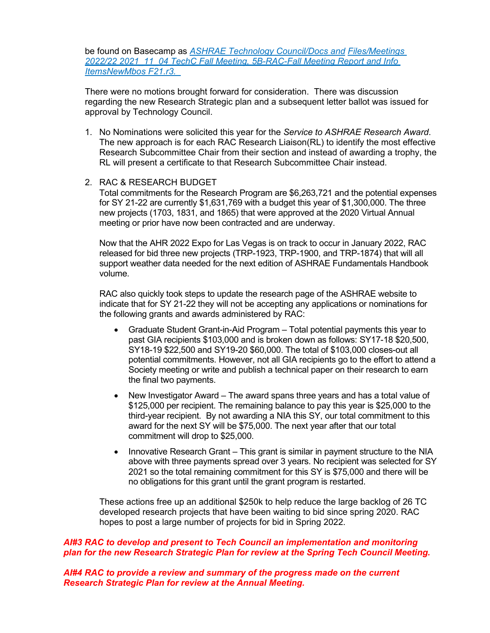be found on Basecamp as *ASHRAE Technology Council/Docs and Files/Meetings 2022/22 2021\_11\_04 TechC Fall Meeting, 5B-RAC-Fall Meeting Report and Info ItemsNewMbos F21.r3.* 

There were no motions brought forward for consideration. There was discussion regarding the new Research Strategic plan and a subsequent letter ballot was issued for approval by Technology Council.

1. No Nominations were solicited this year for the *Service to ASHRAE Research Award*. The new approach is for each RAC Research Liaison(RL) to identify the most effective Research Subcommittee Chair from their section and instead of awarding a trophy, the RL will present a certificate to that Research Subcommittee Chair instead.

#### 2. RAC & RESEARCH BUDGET

Total commitments for the Research Program are \$6,263,721 and the potential expenses for SY 21-22 are currently \$1,631,769 with a budget this year of \$1,300,000. The three new projects (1703, 1831, and 1865) that were approved at the 2020 Virtual Annual meeting or prior have now been contracted and are underway.

Now that the AHR 2022 Expo for Las Vegas is on track to occur in January 2022, RAC released for bid three new projects (TRP-1923, TRP-1900, and TRP-1874) that will all support weather data needed for the next edition of ASHRAE Fundamentals Handbook volume.

RAC also quickly took steps to update the research page of the ASHRAE website to indicate that for SY 21-22 they will not be accepting any applications or nominations for the following grants and awards administered by RAC:

- Graduate Student Grant-in-Aid Program Total potential payments this year to past GIA recipients \$103,000 and is broken down as follows: SY17-18 \$20,500, SY18-19 \$22,500 and SY19-20 \$60,000. The total of \$103,000 closes-out all potential commitments. However, not all GIA recipients go to the effort to attend a Society meeting or write and publish a technical paper on their research to earn the final two payments.
- New Investigator Award The award spans three years and has a total value of \$125,000 per recipient. The remaining balance to pay this year is \$25,000 to the third-year recipient. By not awarding a NIA this SY, our total commitment to this award for the next SY will be \$75,000. The next year after that our total commitment will drop to \$25,000.
- Innovative Research Grant This grant is similar in payment structure to the NIA above with three payments spread over 3 years. No recipient was selected for SY 2021 so the total remaining commitment for this SY is \$75,000 and there will be no obligations for this grant until the grant program is restarted.

These actions free up an additional \$250k to help reduce the large backlog of 26 TC developed research projects that have been waiting to bid since spring 2020. RAC hopes to post a large number of projects for bid in Spring 2022.

#### *AI#3 RAC to develop and present to Tech Council an implementation and monitoring plan for the new Research Strategic Plan for review at the Spring Tech Council Meeting.*

*AI#4 RAC to provide a review and summary of the progress made on the current Research Strategic Plan for review at the Annual Meeting.*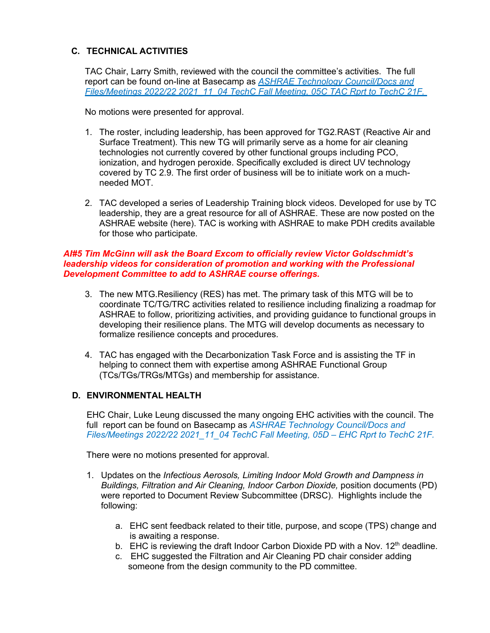# **C. TECHNICAL ACTIVITIES**

TAC Chair, Larry Smith, reviewed with the council the committee's activities. The full report can be found on-line at Basecamp as *ASHRAE Technology Council/Docs and Files/Meetings 2022/22 2021\_11\_04 TechC Fall Meeting, 05C TAC Rprt to TechC 21F.* 

No motions were presented for approval.

- 1. The roster, including leadership, has been approved for TG2.RAST (Reactive Air and Surface Treatment). This new TG will primarily serve as a home for air cleaning technologies not currently covered by other functional groups including PCO, ionization, and hydrogen peroxide. Specifically excluded is direct UV technology covered by TC 2.9. The first order of business will be to initiate work on a muchneeded MOT.
- 2. TAC developed a series of Leadership Training block videos. Developed for use by TC leadership, they are a great resource for all of ASHRAE. These are now posted on the ASHRAE website (here). TAC is working with ASHRAE to make PDH credits available for those who participate.

#### *AI#5 Tim McGinn will ask the Board Excom to officially review Victor Goldschmidt's leadership videos for consideration of promotion and working with the Professional Development Committee to add to ASHRAE course offerings.*

- 3. The new MTG.Resiliency (RES) has met. The primary task of this MTG will be to coordinate TC/TG/TRC activities related to resilience including finalizing a roadmap for ASHRAE to follow, prioritizing activities, and providing guidance to functional groups in developing their resilience plans. The MTG will develop documents as necessary to formalize resilience concepts and procedures.
- 4. TAC has engaged with the Decarbonization Task Force and is assisting the TF in helping to connect them with expertise among ASHRAE Functional Group (TCs/TGs/TRGs/MTGs) and membership for assistance.

# **D. ENVIRONMENTAL HEALTH**

EHC Chair, Luke Leung discussed the many ongoing EHC activities with the council. The full report can be found on Basecamp as *ASHRAE Technology Council/Docs and Files/Meetings 2022/22 2021\_11\_04 TechC Fall Meeting, 05D – EHC Rprt to TechC 21F.* 

There were no motions presented for approval.

- 1. Updates on the *Infectious Aerosols, Limiting Indoor Mold Growth and Dampness in Buildings, Filtration and Air Cleaning, Indoor Carbon Dioxide, position documents (PD)* were reported to Document Review Subcommittee (DRSC). Highlights include the following:
	- a. EHC sent feedback related to their title, purpose, and scope (TPS) change and is awaiting a response.
	- b. EHC is reviewing the draft Indoor Carbon Dioxide PD with a Nov.  $12<sup>th</sup>$  deadline.
	- c. EHC suggested the Filtration and Air Cleaning PD chair consider adding someone from the design community to the PD committee.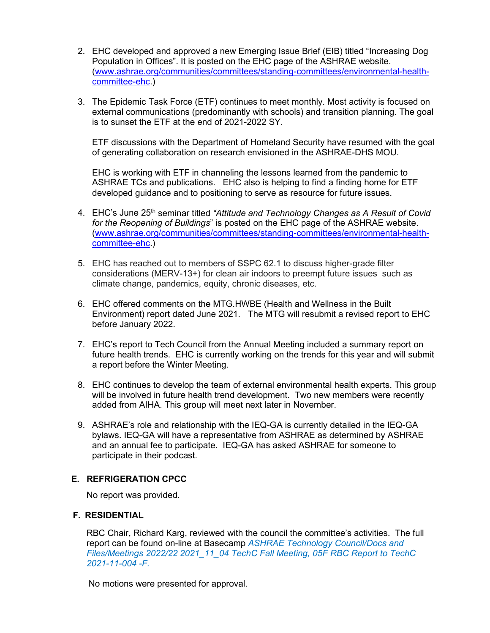- 2. EHC developed and approved a new Emerging Issue Brief (EIB) titled "Increasing Dog Population in Offices". It is posted on the EHC page of the ASHRAE website. [\(www.ashrae.org/communities/committees/standing-committees/environmental-health](http://www.ashrae.org/communities/committees/standing-committees/environmental-health-committee-ehc)[committee-ehc.](http://www.ashrae.org/communities/committees/standing-committees/environmental-health-committee-ehc))
- 3. The Epidemic Task Force (ETF) continues to meet monthly. Most activity is focused on external communications (predominantly with schools) and transition planning. The goal is to sunset the ETF at the end of 2021-2022 SY.

ETF discussions with the Department of Homeland Security have resumed with the goal of generating collaboration on research envisioned in the ASHRAE-DHS MOU.

EHC is working with ETF in channeling the lessons learned from the pandemic to ASHRAE TCs and publications. EHC also is helping to find a finding home for ETF developed guidance and to positioning to serve as resource for future issues.

- 4. EHC's June 25th seminar titled *"Attitude and Technology Changes as A Result of Covid for the Reopening of Buildings*" is posted on the EHC page of the ASHRAE website. [\(www.ashrae.org/communities/committees/standing-committees/environmental-health](http://www.ashrae.org/communities/committees/standing-committees/environmental-health-committee-ehc)[committee-ehc.](http://www.ashrae.org/communities/committees/standing-committees/environmental-health-committee-ehc))
- 5. EHC has reached out to members of SSPC 62.1 to discuss higher-grade filter considerations (MERV-13+) for clean air indoors to preempt future issues such as climate change, pandemics, equity, chronic diseases, etc.
- 6. EHC offered comments on the MTG.HWBE (Health and Wellness in the Built Environment) report dated June 2021. The MTG will resubmit a revised report to EHC before January 2022.
- 7. EHC's report to Tech Council from the Annual Meeting included a summary report on future health trends. EHC is currently working on the trends for this year and will submit a report before the Winter Meeting.
- 8. EHC continues to develop the team of external environmental health experts. This group will be involved in future health trend development. Two new members were recently added from AIHA. This group will meet next later in November.
- 9. ASHRAE's role and relationship with the IEQ-GA is currently detailed in the IEQ-GA bylaws. IEQ-GA will have a representative from ASHRAE as determined by ASHRAE and an annual fee to participate. IEQ-GA has asked ASHRAE for someone to participate in their podcast.

# **E. REFRIGERATION CPCC**

No report was provided.

# **F. RESIDENTIAL**

RBC Chair, Richard Karg, reviewed with the council the committee's activities. The full report can be found on-line at Basecamp *ASHRAE Technology Council/Docs and Files/Meetings 2022/22 2021\_11\_04 TechC Fall Meeting, 05F RBC Report to TechC 2021-11-004 -F.*

No motions were presented for approval.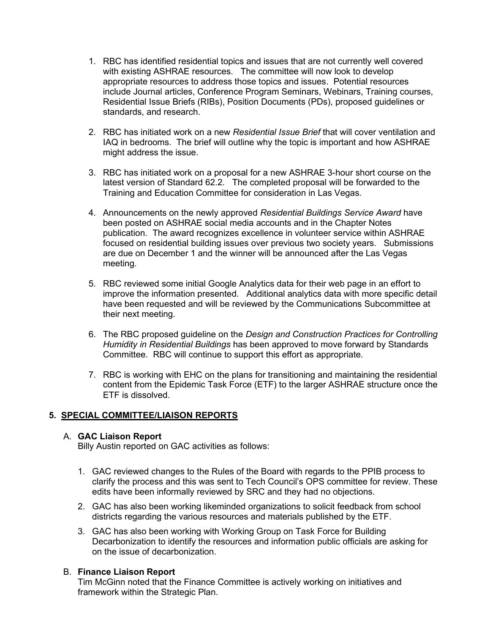- 1. RBC has identified residential topics and issues that are not currently well covered with existing ASHRAE resources. The committee will now look to develop appropriate resources to address those topics and issues. Potential resources include Journal articles, Conference Program Seminars, Webinars, Training courses, Residential Issue Briefs (RIBs), Position Documents (PDs), proposed guidelines or standards, and research.
- 2. RBC has initiated work on a new *Residential Issue Brief* that will cover ventilation and IAQ in bedrooms. The brief will outline why the topic is important and how ASHRAE might address the issue.
- 3. RBC has initiated work on a proposal for a new ASHRAE 3-hour short course on the latest version of Standard 62.2. The completed proposal will be forwarded to the Training and Education Committee for consideration in Las Vegas.
- 4. Announcements on the newly approved *Residential Buildings Service Award* have been posted on ASHRAE social media accounts and in the Chapter Notes publication. The award recognizes excellence in volunteer service within ASHRAE focused on residential building issues over previous two society years. Submissions are due on December 1 and the winner will be announced after the Las Vegas meeting.
- 5. RBC reviewed some initial Google Analytics data for their web page in an effort to improve the information presented. Additional analytics data with more specific detail have been requested and will be reviewed by the Communications Subcommittee at their next meeting.
- 6. The RBC proposed guideline on the *Design and Construction Practices for Controlling Humidity in Residential Buildings* has been approved to move forward by Standards Committee. RBC will continue to support this effort as appropriate.
- 7. RBC is working with EHC on the plans for transitioning and maintaining the residential content from the Epidemic Task Force (ETF) to the larger ASHRAE structure once the ETF is dissolved.

# **5. SPECIAL COMMITTEE/LIAISON REPORTS**

# A. **GAC Liaison Report**

Billy Austin reported on GAC activities as follows:

- 1. GAC reviewed changes to the Rules of the Board with regards to the PPIB process to clarify the process and this was sent to Tech Council's OPS committee for review. These edits have been informally reviewed by SRC and they had no objections.
- 2. GAC has also been working likeminded organizations to solicit feedback from school districts regarding the various resources and materials published by the ETF.
- 3. GAC has also been working with Working Group on Task Force for Building Decarbonization to identify the resources and information public officials are asking for on the issue of decarbonization.

# B. **Finance Liaison Report**

Tim McGinn noted that the Finance Committee is actively working on initiatives and framework within the Strategic Plan.